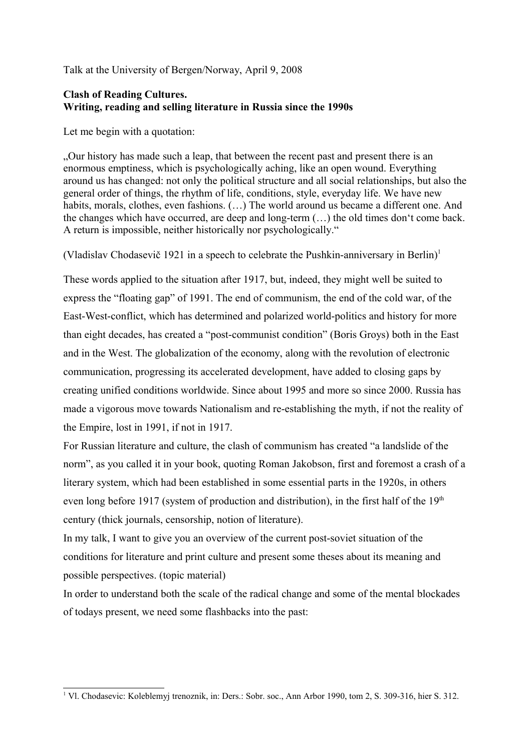Talk at the University of Bergen/Norway, April 9, 2008

# **Clash of Reading Cultures. Writing, reading and selling literature in Russia since the 1990s**

Let me begin with a quotation:

"Our history has made such a leap, that between the recent past and present there is an enormous emptiness, which is psychologically aching, like an open wound. Everything around us has changed: not only the political structure and all social relationships, but also the general order of things, the rhythm of life, conditions, style, everyday life. We have new habits, morals, clothes, even fashions.  $(...)$  The world around us became a different one. And the changes which have occurred, are deep and long-term (…) the old times don't come back. A return is impossible, neither historically nor psychologically."

(Vladislav Chodasevič [1](#page-0-0)921 in a speech to celebrate the Pushkin-anniversary in Berlin)<sup>1</sup>

These words applied to the situation after 1917, but, indeed, they might well be suited to express the "floating gap" of 1991. The end of communism, the end of the cold war, of the East-West-conflict, which has determined and polarized world-politics and history for more than eight decades, has created a "post-communist condition" (Boris Groys) both in the East and in the West. The globalization of the economy, along with the revolution of electronic communication, progressing its accelerated development, have added to closing gaps by creating unified conditions worldwide. Since about 1995 and more so since 2000. Russia has made a vigorous move towards Nationalism and re-establishing the myth, if not the reality of the Empire, lost in 1991, if not in 1917.

For Russian literature and culture, the clash of communism has created "a landslide of the norm", as you called it in your book, quoting Roman Jakobson, first and foremost a crash of a literary system, which had been established in some essential parts in the 1920s, in others even long before 1917 (system of production and distribution), in the first half of the  $19<sup>th</sup>$ century (thick journals, censorship, notion of literature).

In my talk, I want to give you an overview of the current post-soviet situation of the conditions for literature and print culture and present some theses about its meaning and possible perspectives. (topic material)

In order to understand both the scale of the radical change and some of the mental blockades of todays present, we need some flashbacks into the past:

<span id="page-0-0"></span><sup>1</sup> Vl. Chodasevic: Koleblemyj trenoznik, in: Ders.: Sobr. soc., Ann Arbor 1990, tom 2, S. 309-316, hier S. 312.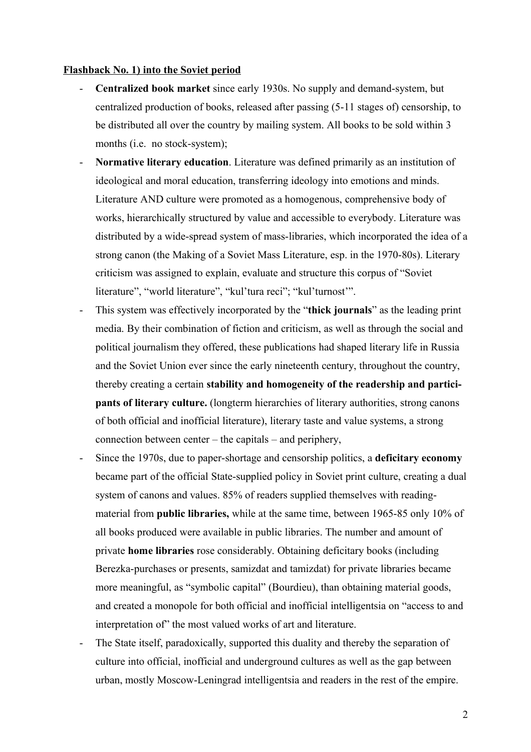#### **Flashback No. 1) into the Soviet period**

- **Centralized book market** since early 1930s. No supply and demand-system, but centralized production of books, released after passing (5-11 stages of) censorship, to be distributed all over the country by mailing system. All books to be sold within 3 months (i.e. no stock-system);
- **Normative literary education**. Literature was defined primarily as an institution of ideological and moral education, transferring ideology into emotions and minds. Literature AND culture were promoted as a homogenous, comprehensive body of works, hierarchically structured by value and accessible to everybody. Literature was distributed by a wide-spread system of mass-libraries, which incorporated the idea of a strong canon (the Making of a Soviet Mass Literature, esp. in the 1970-80s). Literary criticism was assigned to explain, evaluate and structure this corpus of "Soviet literature", "world literature", "kul'tura reci"; "kul'turnost'".
- This system was effectively incorporated by the "**thick journals**" as the leading print media. By their combination of fiction and criticism, as well as through the social and political journalism they offered, these publications had shaped literary life in Russia and the Soviet Union ever since the early nineteenth century, throughout the country, thereby creating a certain **stability and homogeneity of the readership and participants of literary culture.** (longterm hierarchies of literary authorities, strong canons of both official and inofficial literature), literary taste and value systems, a strong connection between center – the capitals – and periphery,
- Since the 1970s, due to paper-shortage and censorship politics, a **deficitary economy** became part of the official State-supplied policy in Soviet print culture, creating a dual system of canons and values. 85% of readers supplied themselves with readingmaterial from **public libraries,** while at the same time, between 1965-85 only 10% of all books produced were available in public libraries. The number and amount of private **home libraries** rose considerably. Obtaining deficitary books (including Berezka-purchases or presents, samizdat and tamizdat) for private libraries became more meaningful, as "symbolic capital" (Bourdieu), than obtaining material goods, and created a monopole for both official and inofficial intelligentsia on "access to and interpretation of" the most valued works of art and literature.
- The State itself, paradoxically, supported this duality and thereby the separation of culture into official, inofficial and underground cultures as well as the gap between urban, mostly Moscow-Leningrad intelligentsia and readers in the rest of the empire.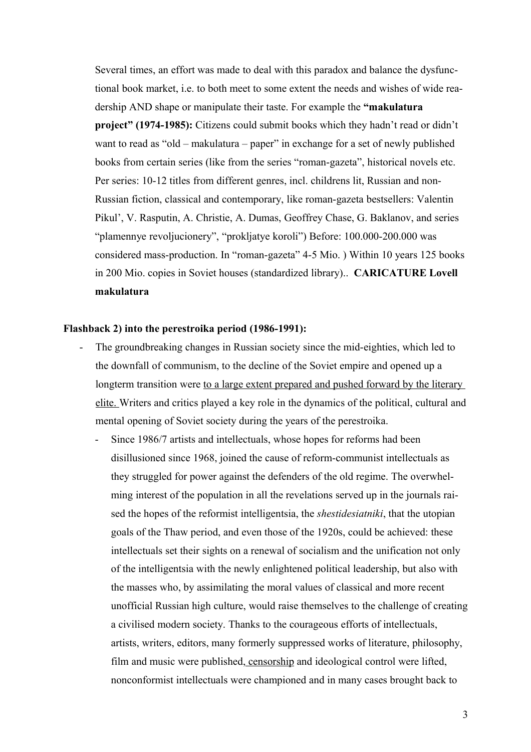Several times, an effort was made to deal with this paradox and balance the dysfunctional book market, i.e. to both meet to some extent the needs and wishes of wide readership AND shape or manipulate their taste. For example the **"makulatura project" (1974-1985):** Citizens could submit books which they hadn't read or didn't want to read as "old – makulatura – paper" in exchange for a set of newly published books from certain series (like from the series "roman-gazeta", historical novels etc. Per series: 10-12 titles from different genres, incl. childrens lit, Russian and non-Russian fiction, classical and contemporary, like roman-gazeta bestsellers: Valentin Pikul', V. Rasputin, A. Christie, A. Dumas, Geoffrey Chase, G. Baklanov, and series "plamennye revoljucionery", "prokljatye koroli") Before: 100.000-200.000 was considered mass-production. In "roman-gazeta" 4-5 Mio. ) Within 10 years 125 books in 200 Mio. copies in Soviet houses (standardized library).. **CARICATURE Lovell makulatura** 

#### **Flashback 2) into the perestroika period (1986-1991):**

- The groundbreaking changes in Russian society since the mid-eighties, which led to the downfall of communism, to the decline of the Soviet empire and opened up a longterm transition were <u>to a large extent prepared and pushed forward by the literary</u> elite. Writers and critics played a key role in the dynamics of the political, cultural and mental opening of Soviet society during the years of the perestroika.
	- Since 1986/7 artists and intellectuals, whose hopes for reforms had been disillusioned since 1968, joined the cause of reform-communist intellectuals as they struggled for power against the defenders of the old regime. The overwhelming interest of the population in all the revelations served up in the journals raised the hopes of the reformist intelligentsia, the *shestidesiatniki*, that the utopian goals of the Thaw period, and even those of the 1920s, could be achieved: these intellectuals set their sights on a renewal of socialism and the unification not only of the intelligentsia with the newly enlightened political leadership, but also with the masses who, by assimilating the moral values of classical and more recent unofficial Russian high culture, would raise themselves to the challenge of creating a civilised modern society. Thanks to the courageous efforts of intellectuals, artists, writers, editors, many formerly suppressed works of literature, philosophy, film and music were published, censorship and ideological control were lifted, nonconformist intellectuals were championed and in many cases brought back to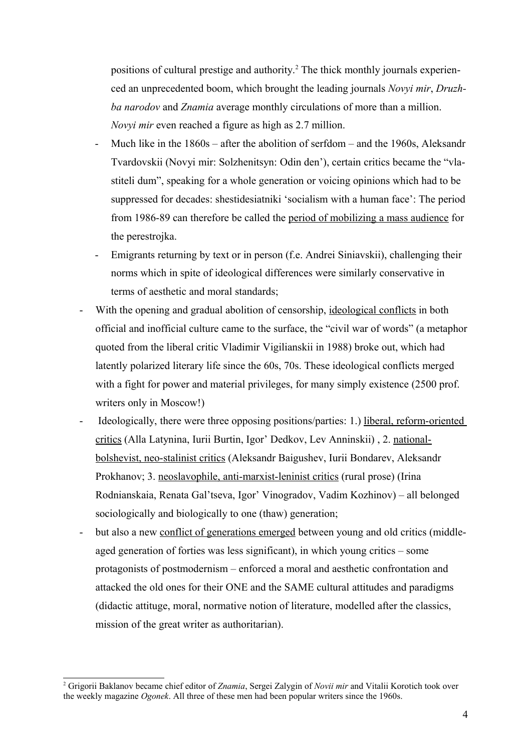positions of cultural prestige and authority.<sup>[2](#page-3-0)</sup> The thick monthly journals experienced an unprecedented boom, which brought the leading journals *Novyi mir*, *Druzhba narodov* and *Znamia* average monthly circulations of more than a million. *Novyi mir* even reached a figure as high as 2.7 million.

- Much like in the 1860s after the abolition of serfdom and the 1960s, Aleksandr Tvardovskii (Novyi mir: Solzhenitsyn: Odin den'), certain critics became the "vlastiteli dum", speaking for a whole generation or voicing opinions which had to be suppressed for decades: shestidesiatniki 'socialism with a human face': The period from 1986-89 can therefore be called the period of mobilizing a mass audience for the perestrojka.
- Emigrants returning by text or in person (f.e. Andrei Siniavskii), challenging their norms which in spite of ideological differences were similarly conservative in terms of aesthetic and moral standards;
- With the opening and gradual abolition of censorship, ideological conflicts in both official and inofficial culture came to the surface, the "civil war of words" (a metaphor quoted from the liberal critic Vladimir Vigilianskii in 1988) broke out, which had latently polarized literary life since the 60s, 70s. These ideological conflicts merged with a fight for power and material privileges, for many simply existence (2500 prof. writers only in Moscow!)
- Ideologically, there were three opposing positions/parties: 1.) liberal, reform-oriented critics (Alla Latynina, Iurii Burtin, Igor' Dedkov, Lev Anninskii) , 2. nationalbolshevist, neo-stalinist critics (Aleksandr Baigushev, Iurii Bondarev, Aleksandr Prokhanov; 3. neoslavophile, anti-marxist-leninist critics (rural prose) (Irina Rodnianskaia, Renata Gal'tseva, Igor' Vinogradov, Vadim Kozhinov) – all belonged sociologically and biologically to one (thaw) generation;
- but also a new conflict of generations emerged between young and old critics (middleaged generation of forties was less significant), in which young critics – some protagonists of postmodernism – enforced a moral and aesthetic confrontation and attacked the old ones for their ONE and the SAME cultural attitudes and paradigms (didactic attituge, moral, normative notion of literature, modelled after the classics, mission of the great writer as authoritarian).

<span id="page-3-0"></span><sup>2</sup> Grigorii Baklanov became chief editor of *Znamia*, Sergei Zalygin of *Novii mir* and Vitalii Korotich took over the weekly magazine *Ogonek*. All three of these men had been popular writers since the 1960s.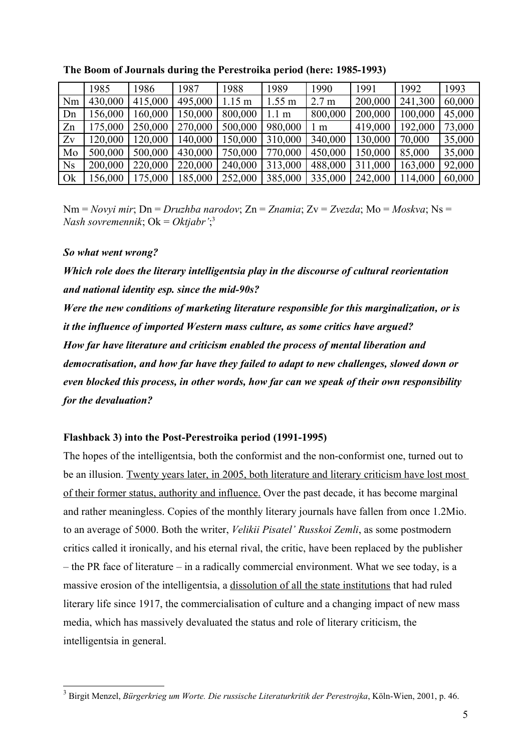|                | 1985    | 1986    | 1987    | 1988             | 1989             | 1990             | 1991    | 1992    | 1993   |
|----------------|---------|---------|---------|------------------|------------------|------------------|---------|---------|--------|
| Nm             | 430,000 | 415,000 | 495,000 | $1.15 \text{ m}$ | $1.55 \text{ m}$ | 2.7 <sub>m</sub> | 200,000 | 241,300 | 60,000 |
| Dn             | 156,000 | 160,000 | 150,000 | 800,000          | 1.1 <sub>m</sub> | 800,000          | 200,000 | 100,000 | 45,000 |
| Zn             | 175,000 | 250,000 | 270,000 | 500,000          | 980,000          | 1 <sub>m</sub>   | 419,000 | 192,000 | 73,000 |
| Zv             | 120,000 | 120,000 | 140,000 | 150,000          | 310,000          | 340,000          | 130,000 | 70,000  | 35,000 |
| Mo             | 500,000 | 500,000 | 430,000 | 750,000          | 770,000          | 450,000          | 150,000 | 85,000  | 35,000 |
| N <sub>S</sub> | 200,000 | 220,000 | 220,000 | 240,000          | 313,000          | 488,000          | 311,000 | 163,000 | 92,000 |
| Ok             | 156,000 | 175,000 | 185,000 | 252,000          | 385,000          | 335,000          | 242,000 | 114,000 | 60,000 |

**The Boom of Journals during the Perestroika period (here: 1985-1993)**

Nm = *Novyi mir*; Dn = *Druzhba narodov*; Zn = *Znamia*; Zv = *Zvezda*; Mo = *Moskva*; Ns = *Nash sovremennik*; Ok = *Oktjabr'*; [3](#page-4-0)

#### *So what went wrong?*

*Which role does the literary intelligentsia play in the discourse of cultural reorientation and national identity esp. since the mid-90s?* 

*Were the new conditions of marketing literature responsible for this marginalization, or is it the influence of imported Western mass culture, as some critics have argued? How far have literature and criticism enabled the process of mental liberation and democratisation, and how far have they failed to adapt to new challenges, slowed down or even blocked this process, in other words, how far can we speak of their own responsibility for the devaluation?*

#### **Flashback 3) into the Post-Perestroika period (1991-1995)**

The hopes of the intelligentsia, both the conformist and the non-conformist one, turned out to be an illusion. Twenty years later, in 2005, both literature and literary criticism have lost most of their former status, authority and influence. Over the past decade, it has become marginal and rather meaningless. Copies of the monthly literary journals have fallen from once 1.2Mio. to an average of 5000. Both the writer, *Velikii Pisatel' Russkoi Zemli*, as some postmodern critics called it ironically, and his eternal rival, the critic, have been replaced by the publisher – the PR face of literature – in a radically commercial environment. What we see today, is a massive erosion of the intelligentsia, a dissolution of all the state institutions that had ruled literary life since 1917, the commercialisation of culture and a changing impact of new mass media, which has massively devaluated the status and role of literary criticism, the intelligentsia in general.

<span id="page-4-0"></span><sup>&</sup>lt;sup>3</sup> Birgit Menzel, *Bürgerkrieg um Worte. Die russische Literaturkritik der Perestrojka*, Köln-Wien, 2001, p. 46.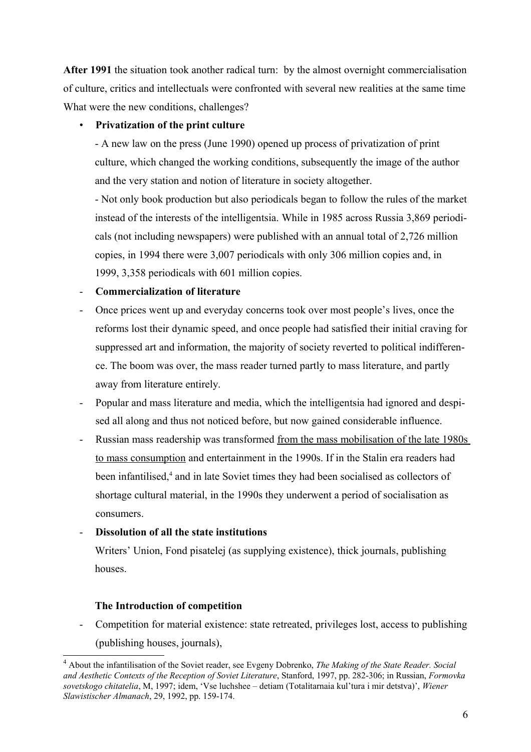**After 1991** the situation took another radical turn: by the almost overnight commercialisation of culture, critics and intellectuals were confronted with several new realities at the same time What were the new conditions, challenges?

# • **Privatization of the print culture**

- A new law on the press (June 1990) opened up process of privatization of print culture, which changed the working conditions, subsequently the image of the author and the very station and notion of literature in society altogether.

- Not only book production but also periodicals began to follow the rules of the market instead of the interests of the intelligentsia. While in 1985 across Russia 3,869 periodicals (not including newspapers) were published with an annual total of 2,726 million copies, in 1994 there were 3,007 periodicals with only 306 million copies and, in 1999, 3,358 periodicals with 601 million copies.

# - **Commercialization of literature**

- Once prices went up and everyday concerns took over most people's lives, once the reforms lost their dynamic speed, and once people had satisfied their initial craving for suppressed art and information, the majority of society reverted to political indifference. The boom was over, the mass reader turned partly to mass literature, and partly away from literature entirely.
- Popular and mass literature and media, which the intelligentsia had ignored and despised all along and thus not noticed before, but now gained considerable influence.
- Russian mass readership was transformed from the mass mobilisation of the late 1980s to mass consumption and entertainment in the 1990s. If in the Stalin era readers had been infantilised,<sup>[4](#page-5-0)</sup> and in late Soviet times they had been socialised as collectors of shortage cultural material, in the 1990s they underwent a period of socialisation as consumers.

# - **Dissolution of all the state institutions**

Writers' Union, Fond pisatelej (as supplying existence), thick journals, publishing houses.

## **The Introduction of competition**

Competition for material existence: state retreated, privileges lost, access to publishing (publishing houses, journals),

<span id="page-5-0"></span><sup>4</sup> About the infantilisation of the Soviet reader, see Evgeny Dobrenko, *The Making of the State Reader. Social and Aesthetic Contexts of the Reception of Soviet Literature*, Stanford, 1997, pp. 282-306; in Russian, *Formovka sovetskogo chitatelia*, M, 1997; idem, 'Vse luchshee – detiam (Totalitarnaia kul'tura i mir detstva)', *Wiener Slawistischer Almanach*, 29, 1992, pp. 159-174.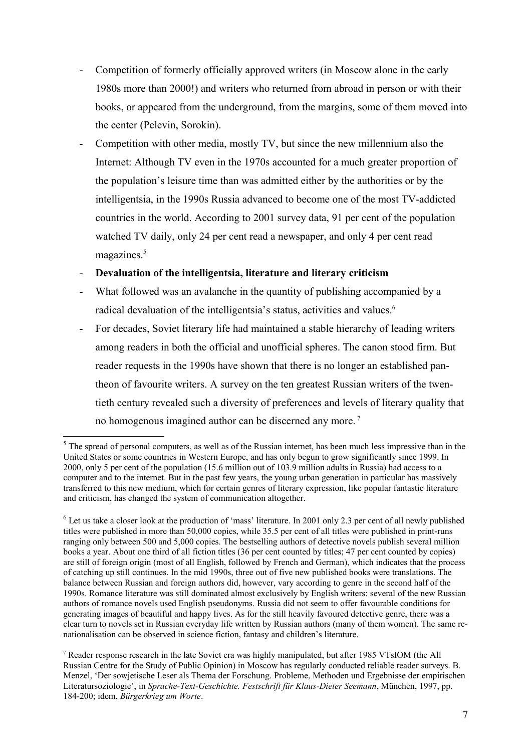- Competition of formerly officially approved writers (in Moscow alone in the early 1980s more than 2000!) and writers who returned from abroad in person or with their books, or appeared from the underground, from the margins, some of them moved into the center (Pelevin, Sorokin).
- Competition with other media, mostly TV, but since the new millennium also the Internet: Although TV even in the 1970s accounted for a much greater proportion of the population's leisure time than was admitted either by the authorities or by the intelligentsia, in the 1990s Russia advanced to become one of the most TV-addicted countries in the world. According to 2001 survey data, 91 per cent of the population watched TV daily, only 24 per cent read a newspaper, and only 4 per cent read magazines.<sup>[5](#page-6-0)</sup>

#### - **Devaluation of the intelligentsia, literature and literary criticism**

- What followed was an avalanche in the quantity of publishing accompanied by a radical devaluation of the intelligentsia's status, activities and values.<sup>[6](#page-6-1)</sup>
- For decades, Soviet literary life had maintained a stable hierarchy of leading writers among readers in both the official and unofficial spheres. The canon stood firm. But reader requests in the 1990s have shown that there is no longer an established pantheon of favourite writers. A survey on the ten greatest Russian writers of the twentieth century revealed such a diversity of preferences and levels of literary quality that no homogenous imagined author can be discerned any more.<sup>[7](#page-6-2)</sup>

<span id="page-6-0"></span> $<sup>5</sup>$  The spread of personal computers, as well as of the Russian internet, has been much less impressive than in the</sup> United States or some countries in Western Europe, and has only begun to grow significantly since 1999. In 2000, only 5 per cent of the population (15.6 million out of 103.9 million adults in Russia) had access to a computer and to the internet. But in the past few years, the young urban generation in particular has massively transferred to this new medium, which for certain genres of literary expression, like popular fantastic literature and criticism, has changed the system of communication altogether.

<span id="page-6-1"></span> $6$  Let us take a closer look at the production of 'mass' literature. In 2001 only 2.3 per cent of all newly published titles were published in more than 50,000 copies, while 35.5 per cent of all titles were published in print-runs ranging only between 500 and 5,000 copies. The bestselling authors of detective novels publish several million books a year. About one third of all fiction titles (36 per cent counted by titles; 47 per cent counted by copies) are still of foreign origin (most of all English, followed by French and German), which indicates that the process of catching up still continues. In the mid 1990s, three out of five new published books were translations. The balance between Russian and foreign authors did, however, vary according to genre in the second half of the 1990s. Romance literature was still dominated almost exclusively by English writers: several of the new Russian authors of romance novels used English pseudonyms. Russia did not seem to offer favourable conditions for generating images of beautiful and happy lives. As for the still heavily favoured detective genre, there was a clear turn to novels set in Russian everyday life written by Russian authors (many of them women). The same renationalisation can be observed in science fiction, fantasy and children's literature.

<span id="page-6-2"></span><sup>7</sup> Reader response research in the late Soviet era was highly manipulated, but after 1985 VTsIOM (the All Russian Centre for the Study of Public Opinion) in Moscow has regularly conducted reliable reader surveys. B. Menzel, 'Der sowjetische Leser als Thema der Forschung. Probleme, Methoden und Ergebnisse der empirischen Literatursoziologie', in *Sprache-Text-Geschichte. Festschrift für Klaus-Dieter Seemann*, München, 1997, pp. 184-200; idem, *Bürgerkrieg um Worte*.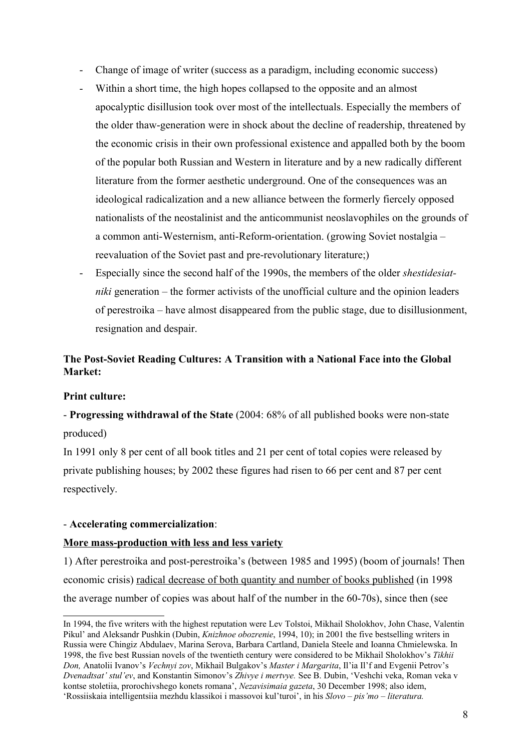- Change of image of writer (success as a paradigm, including economic success)
- Within a short time, the high hopes collapsed to the opposite and an almost apocalyptic disillusion took over most of the intellectuals. Especially the members of the older thaw-generation were in shock about the decline of readership, threatened by the economic crisis in their own professional existence and appalled both by the boom of the popular both Russian and Western in literature and by a new radically different literature from the former aesthetic underground. One of the consequences was an ideological radicalization and a new alliance between the formerly fiercely opposed nationalists of the neostalinist and the anticommunist neoslavophiles on the grounds of a common anti-Westernism, anti-Reform-orientation. (growing Soviet nostalgia – reevaluation of the Soviet past and pre-revolutionary literature;)
- Especially since the second half of the 1990s, the members of the older *shestidesiatniki* generation – the former activists of the unofficial culture and the opinion leaders of perestroika – have almost disappeared from the public stage, due to disillusionment, resignation and despair.

# **The Post-Soviet Reading Cultures: A Transition with a National Face into the Global Market:**

#### **Print culture:**

- **Progressing withdrawal of the State** (2004: 68% of all published books were non-state produced)

In 1991 only 8 per cent of all book titles and 21 per cent of total copies were released by private publishing houses; by 2002 these figures had risen to 66 per cent and 87 per cent respectively.

#### - **Accelerating commercialization**:

#### **More mass-production with less and less variety**

1) After perestroika and post-perestroika's (between 1985 and 1995) (boom of journals! Then economic crisis) radical decrease of both quantity and number of books published (in 1998 the average number of copies was about half of the number in the 60-70s), since then (see

In 1994, the five writers with the highest reputation were Lev Tolstoi, Mikhail Sholokhov, John Chase, Valentin Pikul' and Aleksandr Pushkin (Dubin, *Knizhnoe obozrenie*, 1994, 10); in 2001 the five bestselling writers in Russia were Chingiz Abdulaev, Marina Serova, Barbara Cartland, Daniela Steele and Ioanna Chmielewska. In 1998, the five best Russian novels of the twentieth century were considered to be Mikhail Sholokhov's *Tikhii Don,* Anatolii Ivanov's *Vechnyi zov*, Mikhail Bulgakov's *Master i Margarita*, Il'ia Il'f and Evgenii Petrov's *Dvenadtsat' stul'ev*, and Konstantin Simonov's *Zhivye i mertvye.* See B. Dubin, 'Veshchi veka, Roman veka v kontse stoletiia, prorochivshego konets romana', *Nezavisimaia gazeta*, 30 December 1998; also idem, 'Rossiiskaia intelligentsiia mezhdu klassikoi i massovoi kul'turoi', in his *Slovo – pis'mo – literatura.*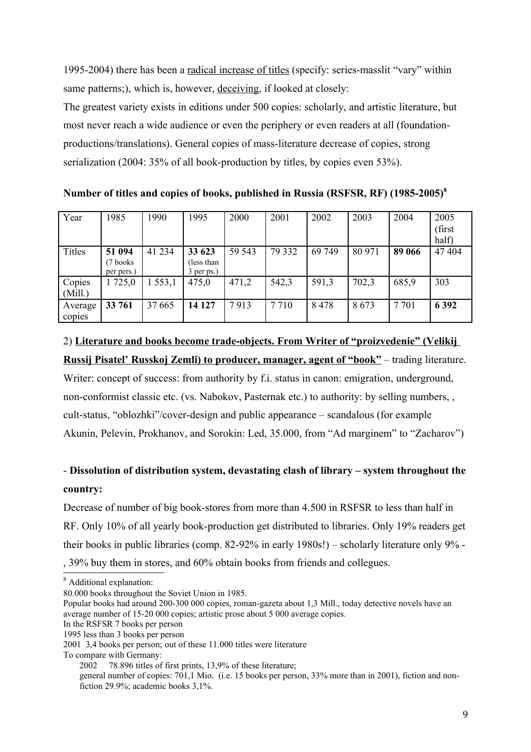1995-2004) there has been a radical increase of titles (specify: series-masslit "vary" within same patterns;), which is, however, deceiving, if looked at closely:

The greatest variety exists in editions under 500 copies: scholarly, and artistic literature, but most never reach a wide audience or even the periphery or even readers at all (foundationproductions/translations). General copies of mass-literature decrease of copies, strong serialization (2004: 35% of all book-production by titles, by copies even 53%).

**Number of titles and copies of books, published in Russia (RSFSR, RF) (1985-2005)[8](#page-8-0)**

| Year          | 1985       | 990    | 1995       | 2000   | 2001    | 2002   | 2003   | 2004   | 2005    |
|---------------|------------|--------|------------|--------|---------|--------|--------|--------|---------|
|               |            |        |            |        |         |        |        |        | (first  |
|               |            |        |            |        |         |        |        |        | half)   |
| <b>Titles</b> | 51 094     | 41 234 | 33 623     | 59 543 | 79 332  | 69 749 | 80 971 | 89 066 | 47 404  |
|               | (7 books)  |        | less than) |        |         |        |        |        |         |
|               | per pers.) |        | 3 per ps.) |        |         |        |        |        |         |
| Copies        | 725,0      | 553,1  | 475,0      | 471,2  | 542,3   | 591,3  | 702,3  | 685,9  | 303     |
| (Mill.)       |            |        |            |        |         |        |        |        |         |
| Average       | 33 761     | 37 665 | 14 127     | 7913   | 7 7 1 0 | 8478   | 8673   | 7 701  | 6 3 9 2 |
| copies        |            |        |            |        |         |        |        |        |         |

# 2) **Literature and books become trade-objects. From Writer of "proizvedenie" (Velikij Russij Pisatel' Russkoj Zemli) to producer, manager, agent of "book"** – trading literature.

Writer: concept of success: from authority by f.i. status in canon: emigration, underground, non-conformist classic etc. (vs. Nabokov, Pasternak etc.) to authority: by selling numbers, , cult-status, "oblozhki"/cover-design and public appearance – scandalous (for example Akunin, Pelevin, Prokhanov, and Sorokin: Led, 35.000, from "Ad marginem" to "Zacharov")

# - **Dissolution of distribution system, devastating clash of library – system throughout the country:**

Decrease of number of big book-stores from more than 4.500 in RSFSR to less than half in RF. Only 10% of all yearly book-production get distributed to libraries. Only 19% readers get their books in public libraries (comp. 82-92% in early 1980s!) – scholarly literature only 9% - , 39% buy them in stores, and 60% obtain books from friends and collegues.

- In the RSFSR 7 books per person
- 1995 less than 3 books per person

<span id="page-8-0"></span><sup>&</sup>lt;sup>8</sup> Additional explanation:

<sup>80.000</sup> books throughout the Soviet Union in 1985.

Popular books had around 200-300 000 copies, roman-gazeta about 1,3 Mill., today detective novels have an average number of 15-20 000 copies; artistic prose about 5 000 average copies.

<sup>2001 3,4</sup> books per person; out of these 11.000 titles were literature

To compare with Germany:

<sup>2002</sup> 78.896 titles of first prints, 13,9% of these literature;

general number of copies: 701,1 Mio. (i.e. 15 books per person, 33% more than in 2001), fiction and nonfiction 29.9%; academic books 3,1%.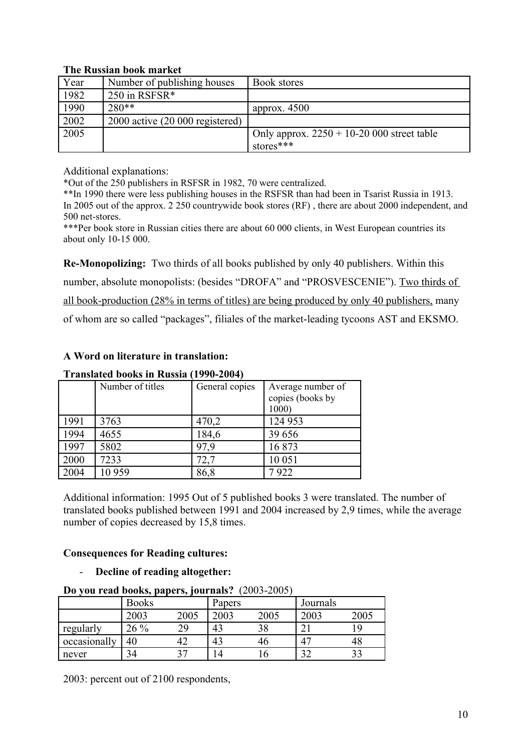## **The Russian book market**

| Year | Number of publishing houses        | Book stores                                 |
|------|------------------------------------|---------------------------------------------|
| 1982 | 250 in RSFSR $*$                   |                                             |
| 1990 | $280**$                            | approx. $4500$                              |
| 2002 | $2000$ active $(20000$ registered) |                                             |
| 2005 |                                    | Only approx. $2250 + 10-20000$ street table |
|      |                                    | stores***                                   |

Additional explanations:

\*Out of the 250 publishers in RSFSR in 1982, 70 were centralized.

\*\*In 1990 there were less publishing houses in the RSFSR than had been in Tsarist Russia in 1913. In 2005 out of the approx. 2 250 countrywide book stores (RF) , there are about 2000 independent, and 500 net-stores.

\*\*\*Per book store in Russian cities there are about 60 000 clients, in West European countries its about only 10-15 000.

**Re-Monopolizing:** Two thirds of all books published by only 40 publishers. Within this number, absolute monopolists: (besides "DROFA" and "PROSVESCENIE"). Two thirds of all book-production (28% in terms of titles) are being produced by only 40 publishers, many of whom are so called "packages", filiales of the market-leading tycoons AST and EKSMO.

# **A Word on literature in translation:**

# **Translated books in Russia (1990-2004)**

|      | Number of titles | General copies | Average number of<br>copies (books by<br>1000) |
|------|------------------|----------------|------------------------------------------------|
| 1991 | 3763             | 470,2          | 124 953                                        |
| 1994 | 4655             | 184,6          | 39 656                                         |
| 1997 | 5802             | 97.9           | 16873                                          |
| 2000 | 7233             | 72,7           | 10 051                                         |
| 2004 | 10 959           | 86,8           | 7922                                           |

Additional information: 1995 Out of 5 published books 3 were translated. The number of translated books published between 1991 and 2004 increased by 2,9 times, while the average number of copies decreased by 15,8 times.

## **Consequences for Reading cultures:**

- **Decline of reading altogether:** 

## **Do you read books, papers, journals?** (2003-2005)

|              | <b>Books</b> | $\sim$ | Papers |      | Journals       |      |
|--------------|--------------|--------|--------|------|----------------|------|
|              | 2003         | 2005   | 2003   | 2005 | 2003           | 2005 |
| regularly    | $26\%$       | 29     | 43     |      | ⌒              |      |
| occasionally | 40           |        | 43     |      | 4 <sup>7</sup> | 48   |
| never        | 34           | 37     |        |      | n n            | ر ر  |

2003: percent out of 2100 respondents,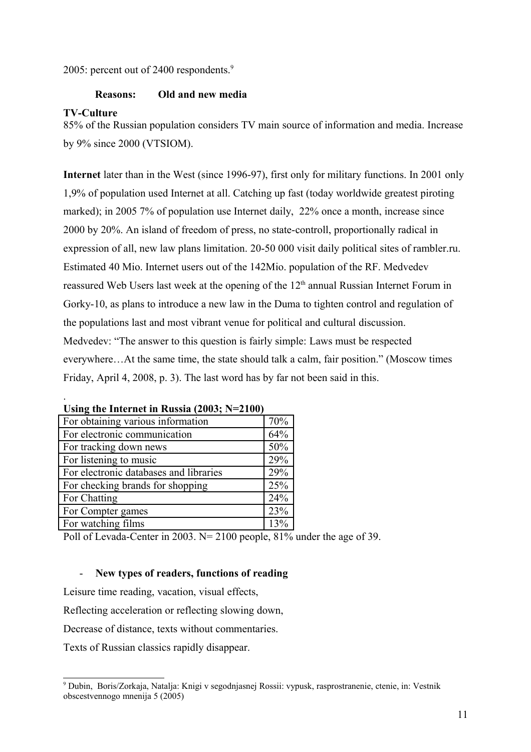2005: percent out of 2400 respondents.<sup>[9](#page-10-0)</sup>

# **Reasons: Old and new media**

#### **TV-Culture**

.

85% of the Russian population considers TV main source of information and media. Increase by 9% since 2000 (VTSIOM).

**Internet** later than in the West (since 1996-97), first only for military functions. In 2001 only 1,9% of population used Internet at all. Catching up fast (today worldwide greatest piroting marked); in 2005 7% of population use Internet daily, 22% once a month, increase since 2000 by 20%. An island of freedom of press, no state-controll, proportionally radical in expression of all, new law plans limitation. 20-50 000 visit daily political sites of rambler.ru. Estimated 40 Mio. Internet users out of the 142Mio. population of the RF. Medvedev reassured Web Users last week at the opening of the 12<sup>th</sup> annual Russian Internet Forum in Gorky-10, as plans to introduce a new law in the Duma to tighten control and regulation of the populations last and most vibrant venue for political and cultural discussion. Medvedev: "The answer to this question is fairly simple: Laws must be respected everywhere…At the same time, the state should talk a calm, fair position." (Moscow times Friday, April 4, 2008, p. 3). The last word has by far not been said in this.

| For obtaining various information      | 70% |
|----------------------------------------|-----|
| For electronic communication           | 64% |
| For tracking down news                 | 50% |
| For listening to music                 | 29% |
| For electronic databases and libraries | 29% |
| For checking brands for shopping       | 25% |
| For Chatting                           | 24% |
| For Compter games                      | 23% |
| For watching films                     | 13% |

|  | Using the Internet in Russia (2003; N=2100) |  |  |
|--|---------------------------------------------|--|--|
|  |                                             |  |  |

Poll of Levada-Center in 2003. N= 2100 people, 81% under the age of 39.

## - **New types of readers, functions of reading**

Leisure time reading, vacation, visual effects,

Reflecting acceleration or reflecting slowing down,

Decrease of distance, texts without commentaries.

Texts of Russian classics rapidly disappear.

<span id="page-10-0"></span><sup>9</sup> Dubin, Boris/Zorkaja, Natalja: Knigi v segodnjasnej Rossii: vypusk, rasprostranenie, ctenie, in: Vestnik obscestvennogo mnenija 5 (2005)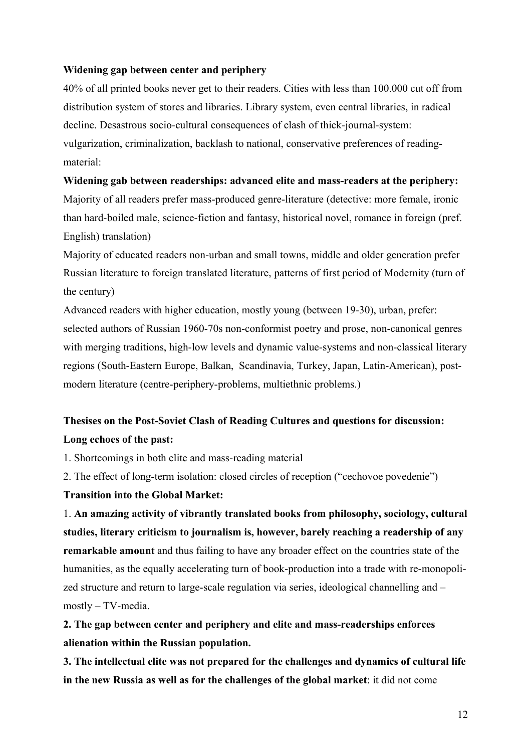#### **Widening gap between center and periphery**

40% of all printed books never get to their readers. Cities with less than 100.000 cut off from distribution system of stores and libraries. Library system, even central libraries, in radical decline. Desastrous socio-cultural consequences of clash of thick-journal-system: vulgarization, criminalization, backlash to national, conservative preferences of readingmaterial:

# **Widening gab between readerships: advanced elite and mass-readers at the periphery:**

Majority of all readers prefer mass-produced genre-literature (detective: more female, ironic than hard-boiled male, science-fiction and fantasy, historical novel, romance in foreign (pref. English) translation)

Majority of educated readers non-urban and small towns, middle and older generation prefer Russian literature to foreign translated literature, patterns of first period of Modernity (turn of the century)

Advanced readers with higher education, mostly young (between 19-30), urban, prefer: selected authors of Russian 1960-70s non-conformist poetry and prose, non-canonical genres with merging traditions, high-low levels and dynamic value-systems and non-classical literary regions (South-Eastern Europe, Balkan, Scandinavia, Turkey, Japan, Latin-American), postmodern literature (centre-periphery-problems, multiethnic problems.)

# **Thesises on the Post-Soviet Clash of Reading Cultures and questions for discussion: Long echoes of the past:**

1. Shortcomings in both elite and mass-reading material

2. The effect of long-term isolation: closed circles of reception ("cechovoe povedenie")

## **Transition into the Global Market:**

1. **An amazing activity of vibrantly translated books from philosophy, sociology, cultural studies, literary criticism to journalism is, however, barely reaching a readership of any remarkable amount** and thus failing to have any broader effect on the countries state of the humanities, as the equally accelerating turn of book-production into a trade with re-monopolized structure and return to large-scale regulation via series, ideological channelling and – mostly – TV-media.

**2. The gap between center and periphery and elite and mass-readerships enforces alienation within the Russian population.**

**3. The intellectual elite was not prepared for the challenges and dynamics of cultural life in the new Russia as well as for the challenges of the global market**: it did not come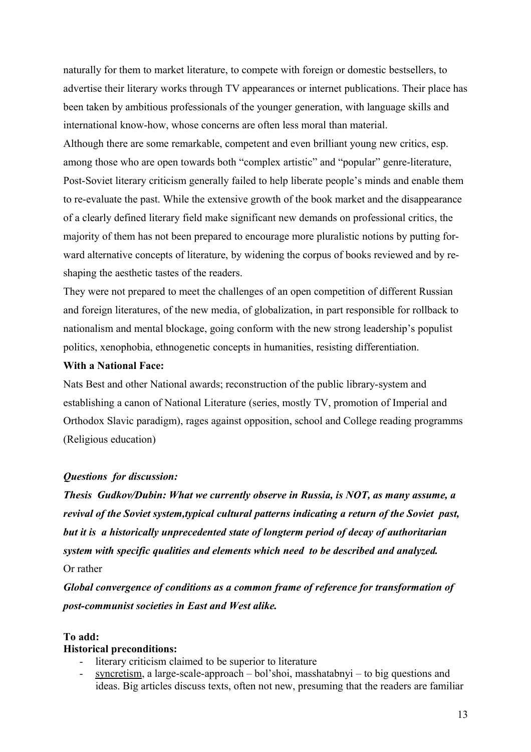naturally for them to market literature, to compete with foreign or domestic bestsellers, to advertise their literary works through TV appearances or internet publications. Their place has been taken by ambitious professionals of the younger generation, with language skills and international know-how, whose concerns are often less moral than material.

Although there are some remarkable, competent and even brilliant young new critics, esp. among those who are open towards both "complex artistic" and "popular" genre-literature, Post-Soviet literary criticism generally failed to help liberate people's minds and enable them to re-evaluate the past. While the extensive growth of the book market and the disappearance of a clearly defined literary field make significant new demands on professional critics, the majority of them has not been prepared to encourage more pluralistic notions by putting forward alternative concepts of literature, by widening the corpus of books reviewed and by reshaping the aesthetic tastes of the readers.

They were not prepared to meet the challenges of an open competition of different Russian and foreign literatures, of the new media, of globalization, in part responsible for rollback to nationalism and mental blockage, going conform with the new strong leadership's populist politics, xenophobia, ethnogenetic concepts in humanities, resisting differentiation.

#### **With a National Face:**

Nats Best and other National awards; reconstruction of the public library-system and establishing a canon of National Literature (series, mostly TV, promotion of Imperial and Orthodox Slavic paradigm), rages against opposition, school and College reading programms (Religious education)

## *Questions for discussion:*

*Thesis Gudkov/Dubin: What we currently observe in Russia, is NOT, as many assume, a revival of the Soviet system,typical cultural patterns indicating a return of the Soviet past, but it is a historically unprecedented state of longterm period of decay of authoritarian system with specific qualities and elements which need to be described and analyzed.* Or rather

*Global convergence of conditions as a common frame of reference for transformation of post-communist societies in East and West alike.*

#### **To add:**

#### **Historical preconditions:**

- literary criticism claimed to be superior to literature
- syncretism, a large-scale-approach bol'shoi, masshatabnyi to big questions and ideas. Big articles discuss texts, often not new, presuming that the readers are familiar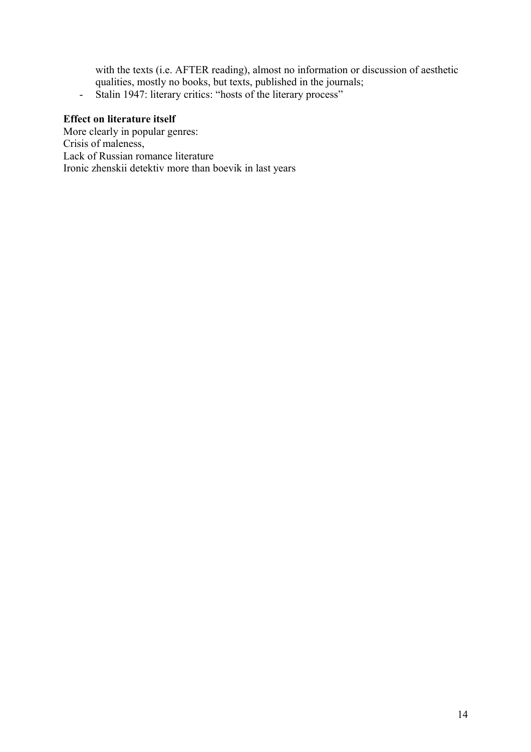with the texts (i.e. AFTER reading), almost no information or discussion of aesthetic qualities, mostly no books, but texts, published in the journals; - Stalin 1947: literary critics: "hosts of the literary process"

#### **Effect on literature itself**

More clearly in popular genres: Crisis of maleness, Lack of Russian romance literature Ironic zhenskii detektiv more than boevik in last years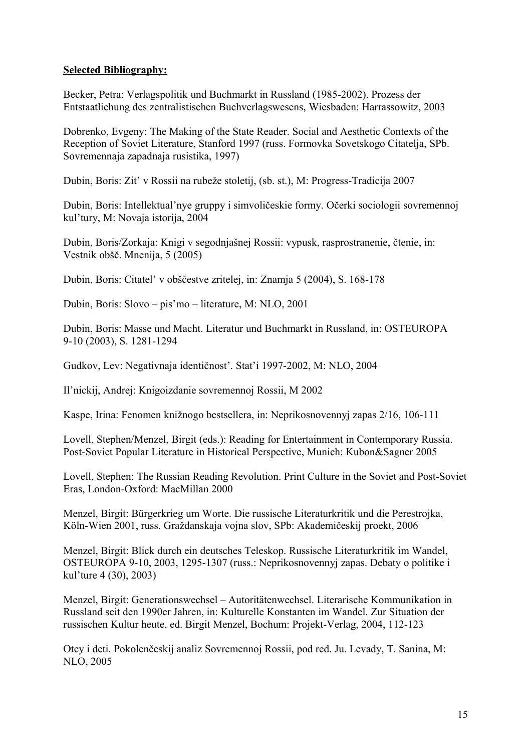## **Selected Bibliography:**

Becker, Petra: Verlagspolitik und Buchmarkt in Russland (1985-2002). Prozess der Entstaatlichung des zentralistischen Buchverlagswesens, Wiesbaden: Harrassowitz, 2003

Dobrenko, Evgeny: The Making of the State Reader. Social and Aesthetic Contexts of the Reception of Soviet Literature, Stanford 1997 (russ. Formovka Sovetskogo Citatelja, SPb. Sovremennaja zapadnaja rusistika, 1997)

Dubin, Boris: Zit' v Rossii na rubeže stoletij, (sb. st.), M: Progress-Tradicija 2007

Dubin, Boris: Intellektual'nye gruppy i simvoličeskie formy. Očerki sociologii sovremennoj kul'tury, M: Novaja istorija, 2004

Dubin, Boris/Zorkaja: Knigi v segodnjašnej Rossii: vypusk, rasprostranenie, čtenie, in: Vestnik obšč. Mnenija, 5 (2005)

Dubin, Boris: Citatel' v obščestve zritelej, in: Znamja 5 (2004), S. 168-178

Dubin, Boris: Slovo – pis'mo – literature, M: NLO, 2001

Dubin, Boris: Masse und Macht. Literatur und Buchmarkt in Russland, in: OSTEUROPA 9-10 (2003), S. 1281-1294

Gudkov, Lev: Negativnaja identičnost'. Stat'i 1997-2002, M: NLO, 2004

Il'nickij, Andrej: Knigoizdanie sovremennoj Rossii, M 2002

Kaspe, Irina: Fenomen knižnogo bestsellera, in: Neprikosnovennyj zapas 2/16, 106-111

Lovell, Stephen/Menzel, Birgit (eds.): Reading for Entertainment in Contemporary Russia. Post-Soviet Popular Literature in Historical Perspective, Munich: Kubon&Sagner 2005

Lovell, Stephen: The Russian Reading Revolution. Print Culture in the Soviet and Post-Soviet Eras, London-Oxford: MacMillan 2000

Menzel, Birgit: Bürgerkrieg um Worte. Die russische Literaturkritik und die Perestrojka, Köln-Wien 2001, russ. Graždanskaja vojna slov, SPb: Akademičeskij proekt, 2006

Menzel, Birgit: Blick durch ein deutsches Teleskop. Russische Literaturkritik im Wandel, OSTEUROPA 9-10, 2003, 1295-1307 (russ.: Neprikosnovennyj zapas. Debaty o politike i kul'ture 4 (30), 2003)

Menzel, Birgit: Generationswechsel – Autoritätenwechsel. Literarische Kommunikation in Russland seit den 1990er Jahren, in: Kulturelle Konstanten im Wandel. Zur Situation der russischen Kultur heute, ed. Birgit Menzel, Bochum: Projekt-Verlag, 2004, 112-123

Otcy i deti. Pokolenčeskij analiz Sovremennoj Rossii, pod red. Ju. Levady, T. Sanina, M: NLO, 2005